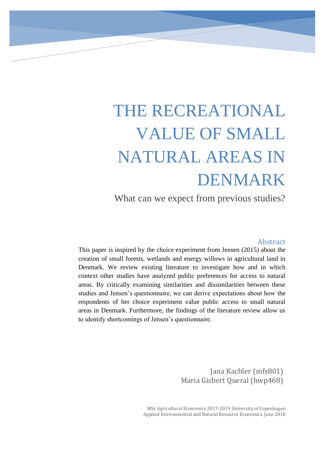# THE RECREATIONAL VALUE OF SMALL NATURAL AREAS IN DENMARK

What can we expect from previous studies?

#### Abstract

This paper is inspired by the choice experiment from Jensen (2015) about the creation of small forests, wetlands and energy willows in agricultural land in Denmark. We review existing literature to investigate how and in which context other studies have analyzed public preferences for access to natural areas. By critically examining similarities and dissimilarities between these studies and Jensen's questionnaire, we can derive expectations about how the respondents of her choice experiment value public access to small natural areas in Denmark. Furthermore, the findings of the literature review allow us to identify shortcomings of Jensen's questionnaire.

> Jana Kachler (mfs801) Maria Gisbert Queral (hwp468)

MSc Agricultural Economics 2017-2019 University of Copenhagen Applied Environmental and Natural Resource Economics, June 2018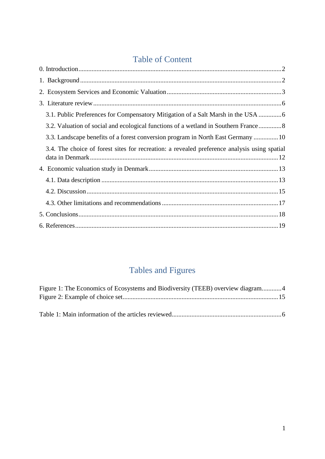## Table of Content

| 3.1. Public Preferences for Compensatory Mitigation of a Salt Marsh in the USA               |
|----------------------------------------------------------------------------------------------|
| 3.2. Valuation of social and ecological functions of a wetland in Southern France  8         |
| 3.3. Landscape benefits of a forest conversion program in North East Germany  10             |
| 3.4. The choice of forest sites for recreation: a revealed preference analysis using spatial |
|                                                                                              |
|                                                                                              |
|                                                                                              |
|                                                                                              |
|                                                                                              |
|                                                                                              |

# Tables and Figures

<span id="page-1-0"></span>

| Figure 1: The Economics of Ecosystems and Biodiversity (TEEB) overview diagram4 |  |
|---------------------------------------------------------------------------------|--|
|                                                                                 |  |
|                                                                                 |  |
|                                                                                 |  |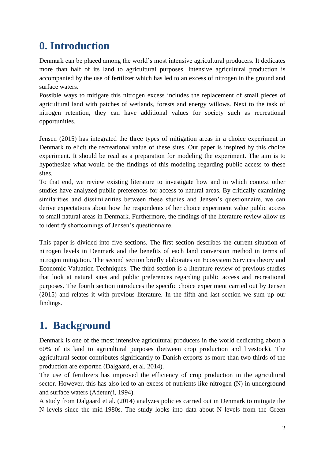# **0. Introduction**

Denmark can be placed among the world's most intensive agricultural producers. It dedicates more than half of its land to agricultural purposes. Intensive agricultural production is accompanied by the use of fertilizer which has led to an excess of nitrogen in the ground and surface waters.

Possible ways to mitigate this nitrogen excess includes the replacement of small pieces of agricultural land with patches of wetlands, forests and energy willows. Next to the task of nitrogen retention, they can have additional values for society such as recreational opportunities.

Jensen (2015) has integrated the three types of mitigation areas in a choice experiment in Denmark to elicit the recreational value of these sites. Our paper is inspired by this choice experiment. It should be read as a preparation for modeling the experiment. The aim is to hypothesize what would be the findings of this modeling regarding public access to these sites.

To that end, we review existing literature to investigate how and in which context other studies have analyzed public preferences for access to natural areas. By critically examining similarities and dissimilarities between these studies and Jensen's questionnaire, we can derive expectations about how the respondents of her choice experiment value public access to small natural areas in Denmark. Furthermore, the findings of the literature review allow us to identify shortcomings of Jensen's questionnaire.

This paper is divided into five sections. The first section describes the current situation of nitrogen levels in Denmark and the benefits of each land conversion method in terms of nitrogen mitigation. The second section briefly elaborates on Ecosystem Services theory and Economic Valuation Techniques. The third section is a literature review of previous studies that look at natural sites and public preferences regarding public access and recreational purposes. The fourth section introduces the specific choice experiment carried out by Jensen (2015) and relates it with previous literature. In the fifth and last section we sum up our findings.

# <span id="page-2-0"></span>**1. Background**

Denmark is one of the most intensive agricultural producers in the world dedicating about a 60% of its land to agricultural purposes (between crop production and livestock). The agricultural sector contributes significantly to Danish exports as more than two thirds of the production are exported (Dalgaard, et al. 2014).

The use of fertilizers has improved the efficiency of crop production in the agricultural sector. However, this has also led to an excess of nutrients like nitrogen (N) in underground and surface waters (Adetunji, 1994).

A study from Dalgaard et al. (2014) analyzes policies carried out in Denmark to mitigate the N levels since the mid-1980s. The study looks into data about N levels from the Green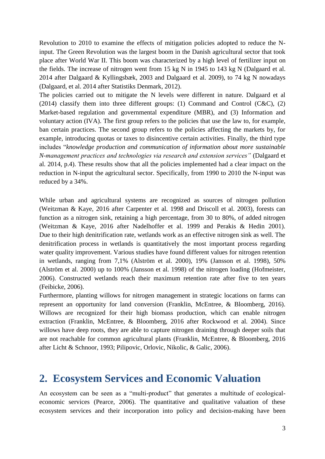Revolution to 2010 to examine the effects of mitigation policies adopted to reduce the Ninput. The Green Revolution was the largest boom in the Danish agricultural sector that took place after World War II. This boom was characterized by a high level of fertilizer input on the fields. The increase of nitrogen went from 15 kg N in 1945 to 143 kg N (Dalgaard et al. 2014 after Dalgaard & Kyllingsbæk, 2003 and Dalgaard et al. 2009), to 74 kg N nowadays (Dalgaard, et al. 2014 after Statistiks Denmark, 2012).

The policies carried out to mitigate the N levels were different in nature. Dalgaard et al (2014) classify them into three different groups: (1) Command and Control  $(C&C)$ , (2) Market-based regulation and governmental expenditure (MBR), and (3) Information and voluntary action (IVA). The first group refers to the policies that use the law to, for example, ban certain practices. The second group refers to the policies affecting the markets by, for example, introducing quotas or taxes to disincentive certain activities. Finally, the third type includes "*knowledge production and communication of information about more sustainable N-management practices and technologies via research and extension services"* (Dalgaard et al. 2014, p.4). These results show that all the policies implemented had a clear impact on the reduction in N-input the agricultural sector. Specifically, from 1990 to 2010 the N-input was reduced by a 34%.

While urban and agricultural systems are recognized as sources of nitrogen pollution (Weitzman & Kaye, 2016 after Carpenter et al. 1998 and Driscoll et al. 2003), forests can function as a nitrogen sink, retaining a high percentage, from 30 to 80%, of added nitrogen (Weitzman & Kaye, 2016 after Nadelhoffer et al. 1999 and Perakis & Hedin 2001). Due to their high denitrification rate, wetlands work as an effective nitrogen sink as well. The denitrification process in wetlands is quantitatively the most important process regarding water quality improvement. Various studies have found different values for nitrogen retention in wetlands, ranging from 7,1% (Alström et al. 2000), 19% (Jansson et al. 1998), 50% (Alström et al. 2000) up to 100% (Jansson et al. 1998) of the nitrogen loading (Hofmeister, 2006). Constructed wetlands reach their maximum retention rate after five to ten years (Feibicke, 2006).

Furthermore, planting willows for nitrogen management in strategic locations on farms can represent an opportunity for land conversion (Franklin, McEntree, & Bloomberg, 2016). Willows are recognized for their high biomass production, which can enable nitrogen extraction (Franklin, McEntree, & Bloomberg, 2016 after Rockwood et al. 2004). Since willows have deep roots, they are able to capture nitrogen draining through deeper soils that are not reachable for common agricultural plants (Franklin, McEntree, & Bloomberg, 2016 after Licht & Schnoor, 1993; Pilipovic, Orlovic, Nikolic, & Galic, 2006).

### <span id="page-3-0"></span>**2. Ecosystem Services and Economic Valuation**

An ecosystem can be seen as a "multi-product" that generates a multitude of ecologicaleconomic services (Pearce, 2006). The quantitative and qualitative valuation of these ecosystem services and their incorporation into policy and decision-making have been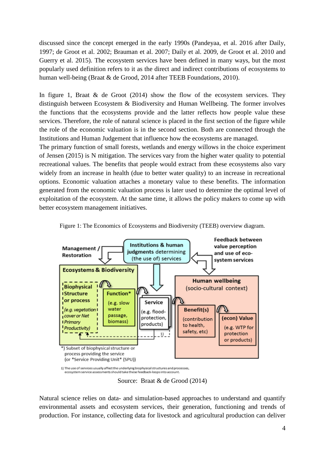discussed since the concept emerged in the early 1990s (Pandeyaa, et al. 2016 after Daily, 1997; de Groot et al. 2002; Brauman et al. 2007; Daily et al. 2009, de Groot et al. 2010 and Guerry et al. 2015). The ecosystem services have been defined in many ways, but the most popularly used definition refers to it as the direct and indirect contributions of ecosystems to human well-being (Braat & de Grood, 2014 after TEEB Foundations, 2010).

In figure 1, Braat & de Groot (2014) show the flow of the ecosystem services. They distinguish between Ecosystem & Biodiversity and Human Wellbeing. The former involves the functions that the ecosystems provide and the latter reflects how people value these services. Therefore, the role of natural science is placed in the first section of the figure while the role of the economic valuation is in the second section. Both are connected through the Institutions and Human Judgement that influence how the ecosystems are managed.

The primary function of small forests, wetlands and energy willows in the choice experiment of Jensen (2015) is N mitigation. The services vary from the higher water quality to potential recreational values. The benefits that people would extract from these ecosystems also vary widely from an increase in health (due to better water quality) to an increase in recreational options. Economic valuation attaches a monetary value to these benefits. The information generated from the economic valuation process is later used to determine the optimal level of exploitation of the ecosystem. At the same time, it allows the policy makers to come up with better ecosystem management initiatives.

<span id="page-4-0"></span>

Figure 1: The Economics of Ecosystems and Biodiversity (TEEB) overview diagram.

Source: Braat & de Grood (2014)

Natural science relies on data- and simulation-based approaches to understand and quantify environmental assets and ecosystem services, their generation, functioning and trends of production. For instance, collecting data for livestock and agricultural production can deliver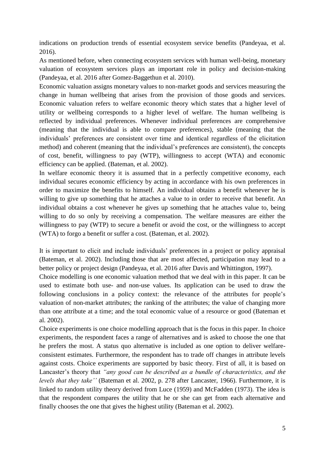indications on production trends of essential ecosystem service benefits (Pandeyaa, et al. 2016).

As mentioned before, when connecting ecosystem services with human well-being, monetary valuation of ecosystem services plays an important role in policy and decision-making (Pandeyaa, et al. 2016 after Gomez-Baggethun et al. 2010).

Economic valuation assigns monetary values to non-market goods and services measuring the change in human wellbeing that arises from the provision of those goods and services. Economic valuation refers to welfare economic theory which states that a higher level of utility or wellbeing corresponds to a higher level of welfare. The human wellbeing is reflected by individual preferences. Whenever individual preferences are comprehensive (meaning that the individual is able to compare preferences), stable (meaning that the individuals' preferences are consistent over time and identical regardless of the elicitation method) and coherent (meaning that the individual's preferences are consistent), the concepts of cost, benefit, willingness to pay (WTP), willingness to accept (WTA) and economic efficiency can be applied. (Bateman, et al. 2002).

In welfare economic theory it is assumed that in a perfectly competitive economy, each individual secures economic efficiency by acting in accordance with his own preferences in order to maximize the benefits to himself. An individual obtains a benefit whenever he is willing to give up something that he attaches a value to in order to receive that benefit. An individual obtains a cost whenever he gives up something that he attaches value to, being willing to do so only by receiving a compensation. The welfare measures are either the willingness to pay (WTP) to secure a benefit or avoid the cost, or the willingness to accept (WTA) to forgo a benefit or suffer a cost. (Bateman, et al. 2002).

It is important to elicit and include individuals' preferences in a project or policy appraisal (Bateman, et al. 2002). Including those that are most affected, participation may lead to a better policy or project design (Pandeyaa, et al. 2016 after Davis and Whittington, 1997).

Choice modelling is one economic valuation method that we deal with in this paper. It can be used to estimate both use- and non-use values. Its application can be used to draw the following conclusions in a policy context: the relevance of the attributes for people's valuation of non-market attributes; the ranking of the attributes; the value of changing more than one attribute at a time; and the total economic value of a resource or good (Bateman et al. 2002).

Choice experiments is one choice modelling approach that is the focus in this paper. In choice experiments, the respondent faces a range of alternatives and is asked to choose the one that he prefers the most. A status quo alternative is included as one option to deliver welfareconsistent estimates. Furthermore, the respondent has to trade off changes in attribute levels against costs. Choice experiments are supported by basic theory. First of all, it is based on Lancaster's theory that *"any good can be described as a bundle of characteristics, and the levels that they take''* (Bateman et al. 2002, p. 278 after Lancaster, 1966). Furthermore, it is linked to random utility theory derived from Luce (1959) and McFadden (1973). The idea is that the respondent compares the utility that he or she can get from each alternative and finally chooses the one that gives the highest utility (Bateman et al. 2002).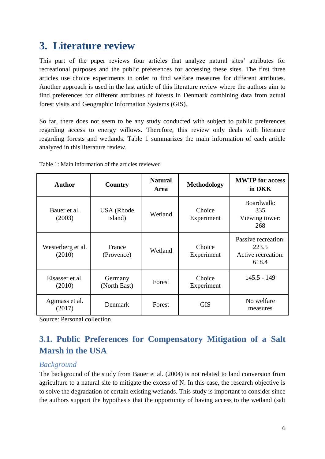# <span id="page-6-0"></span>**3. Literature review**

This part of the paper reviews four articles that analyze natural sites' attributes for recreational purposes and the public preferences for accessing these sites. The first three articles use choice experiments in order to find welfare measures for different attributes. Another approach is used in the last article of this literature review where the authors aim to find preferences for different attributes of forests in Denmark combining data from actual forest visits and Geographic Information Systems (GIS).

So far, there does not seem to be any study conducted with subject to public preferences regarding access to energy willows. Therefore, this review only deals with literature regarding forests and wetlands. Table 1 summarizes the main information of each article analyzed in this literature review.

| <b>Author</b>               | Country                      | <b>Natural</b><br>Area | <b>Methodology</b>   | <b>MWTP</b> for access<br>in DKK                            |
|-----------------------------|------------------------------|------------------------|----------------------|-------------------------------------------------------------|
| Bauer et al.<br>(2003)      | <b>USA</b> (Rhode<br>Island) | Wetland                | Choice<br>Experiment | Boardwalk:<br>335<br>Viewing tower:<br>268                  |
| Westerberg et al.<br>(2010) | France<br>(Provence)         | Wetland                | Choice<br>Experiment | Passive recreation:<br>223.5<br>Active recreation:<br>618.4 |
| Elsasser et al.<br>(2010)   | Germany<br>(North East)      | Forest                 | Choice<br>Experiment | $145.5 - 149$                                               |
| Agimass et al.<br>(2017)    | Denmark                      | Forest                 | <b>GIS</b>           | No welfare<br>measures                                      |

<span id="page-6-2"></span>Table 1: Main information of the articles reviewed

<span id="page-6-1"></span>Source: Personal collection

### **3.1. Public Preferences for Compensatory Mitigation of a Salt Marsh in the USA**

### *Background*

The background of the study from Bauer et al. (2004) is not related to land conversion from agriculture to a natural site to mitigate the excess of N. In this case, the research objective is to solve the degradation of certain existing wetlands. This study is important to consider since the authors support the hypothesis that the opportunity of having access to the wetland (salt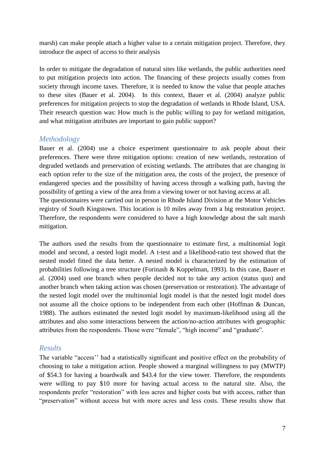marsh) can make people attach a higher value to a certain mitigation project. Therefore, they introduce the aspect of access to their analysis

In order to mitigate the degradation of natural sites like wetlands, the public authorities need to put mitigation projects into action. The financing of these projects usually comes from society through income taxes. Therefore, it is needed to know the value that people attaches to these sites (Bauer et al. 2004). In this context, Bauer et al. (2004) analyze public preferences for mitigation projects to stop the degradation of wetlands in Rhode Island, USA. Their research question was: How much is the public willing to pay for wetland mitigation, and what mitigation attributes are important to gain public support?

#### *Methodology*

Bauer et al. (2004) use a choice experiment questionnaire to ask people about their preferences. There were three mitigation options: creation of new wetlands, restoration of degraded wetlands and preservation of existing wetlands. The attributes that are changing in each option refer to the size of the mitigation area, the costs of the project, the presence of endangered species and the possibility of having access through a walking path, having the possibility of getting a view of the area from a viewing tower or not having access at all. The questionnaires were carried out in person in Rhode Island Division at the Motor Vehicles registry of South Kingstown. This location is 10 miles away from a big restoration project. Therefore, the respondents were considered to have a high knowledge about the salt marsh mitigation.

The authors used the results from the questionnaire to estimate first, a multinomial logit model and second, a nested logit model. A t-test and a likelihood-ratio test showed that the nested model fitted the data better. A nested model is characterized by the estimation of probabilities following a tree structure (Forinash & Koppelman, 1993). In this case, Bauer et al. (2004) used one branch when people decided not to take any action (status quo) and another branch when taking action was chosen (preservation or restoration). The advantage of the nested logit model over the multinomial logit model is that the nested logit model does not assume all the choice options to be independent from each other (Hoffman & Duncan, 1988). The authors estimated the nested logit model by maximum-likelihood using all the attributes and also some interactions between the action/no-action attributes with geographic attributes from the respondents. Those were "female", "high income" and "graduate".

#### *Results*

The variable "access'' had a statistically significant and positive effect on the probability of choosing to take a mitigation action. People showed a marginal willingness to pay (MWTP) of \$54.3 for having a boardwalk and \$43.4 for the view tower. Therefore, the respondents were willing to pay \$10 more for having actual access to the natural site. Also, the respondents prefer "restoration" with less acres and higher costs but with access, rather than "preservation" without access but with more acres and less costs. These results show that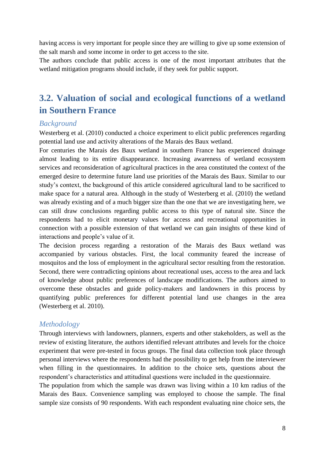having access is very important for people since they are willing to give up some extension of the salt marsh and some income in order to get access to the site.

The authors conclude that public access is one of the most important attributes that the wetland mitigation programs should include, if they seek for public support.

### <span id="page-8-0"></span>**3.2. Valuation of social and ecological functions of a wetland in Southern France**

### *Background*

Westerberg et al. (2010) conducted a choice experiment to elicit public preferences regarding potential land use and activity alterations of the Marais des Baux wetland.

For centuries the Marais des Baux wetland in southern France has experienced drainage almost leading to its entire disappearance. Increasing awareness of wetland ecosystem services and reconsideration of agricultural practices in the area constituted the context of the emerged desire to determine future land use priorities of the Marais des Baux. Similar to our study's context, the background of this article considered agricultural land to be sacrificed to make space for a natural area. Although in the study of Westerberg et al. (2010) the wetland was already existing and of a much bigger size than the one that we are investigating here, we can still draw conclusions regarding public access to this type of natural site. Since the respondents had to elicit monetary values for access and recreational opportunities in connection with a possible extension of that wetland we can gain insights of these kind of interactions and people's value of it.

The decision process regarding a restoration of the Marais des Baux wetland was accompanied by various obstacles. First, the local community feared the increase of mosquitos and the loss of employment in the agricultural sector resulting from the restoration. Second, there were contradicting opinions about recreational uses, access to the area and lack of knowledge about public preferences of landscape modifications. The authors aimed to overcome these obstacles and guide policy-makers and landowners in this process by quantifying public preferences for different potential land use changes in the area (Westerberg et al. 2010).

### *Methodology*

Through interviews with landowners, planners, experts and other stakeholders, as well as the review of existing literature, the authors identified relevant attributes and levels for the choice experiment that were pre-tested in focus groups. The final data collection took place through personal interviews where the respondents had the possibility to get help from the interviewer when filling in the questionnaires. In addition to the choice sets, questions about the respondent's characteristics and attitudinal questions were included in the questionnaire.

The population from which the sample was drawn was living within a 10 km radius of the Marais des Baux. Convenience sampling was employed to choose the sample. The final sample size consists of 90 respondents. With each respondent evaluating nine choice sets, the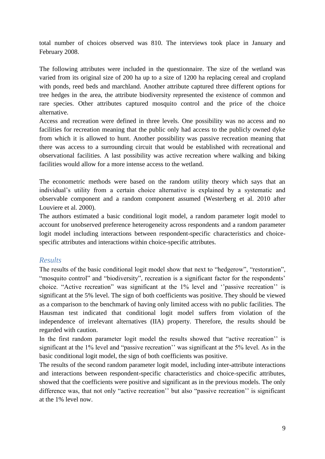total number of choices observed was 810. The interviews took place in January and February 2008.

The following attributes were included in the questionnaire. The size of the wetland was varied from its original size of 200 ha up to a size of 1200 ha replacing cereal and cropland with ponds, reed beds and marchland. Another attribute captured three different options for tree hedges in the area, the attribute biodiversity represented the existence of common and rare species. Other attributes captured mosquito control and the price of the choice alternative.

Access and recreation were defined in three levels. One possibility was no access and no facilities for recreation meaning that the public only had access to the publicly owned dyke from which it is allowed to hunt. Another possibility was passive recreation meaning that there was access to a surrounding circuit that would be established with recreational and observational facilities. A last possibility was active recreation where walking and biking facilities would allow for a more intense access to the wetland.

The econometric methods were based on the random utility theory which says that an individual's utility from a certain choice alternative is explained by a systematic and observable component and a random component assumed (Westerberg et al. 2010 after Louviere et al. 2000).

The authors estimated a basic conditional logit model, a random parameter logit model to account for unobserved preference heterogeneity across respondents and a random parameter logit model including interactions between respondent-specific characteristics and choicespecific attributes and interactions within choice-specific attributes.

### *Results*

The results of the basic conditional logit model show that next to "hedgerow", "restoration", "mosquito control" and "biodiversity", recreation is a significant factor for the respondents' choice. "Active recreation" was significant at the 1% level and ''passive recreation'' is significant at the 5% level. The sign of both coefficients was positive. They should be viewed as a comparison to the benchmark of having only limited access with no public facilities. The Hausman test indicated that conditional logit model suffers from violation of the independence of irrelevant alternatives (IIA) property. Therefore, the results should be regarded with caution.

In the first random parameter logit model the results showed that "active recreation'' is significant at the 1% level and "passive recreation'' was significant at the 5% level. As in the basic conditional logit model, the sign of both coefficients was positive.

The results of the second random parameter logit model, including inter-attribute interactions and interactions between respondent-specific characteristics and choice-specific attributes, showed that the coefficients were positive and significant as in the previous models. The only difference was, that not only "active recreation'' but also "passive recreation'' is significant at the 1% level now.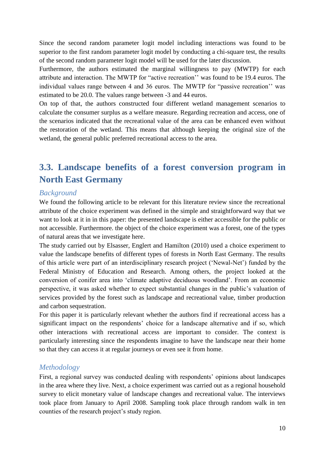Since the second random parameter logit model including interactions was found to be superior to the first random parameter logit model by conducting a chi-square test, the results of the second random parameter logit model will be used for the later discussion.

Furthermore, the authors estimated the marginal willingness to pay (MWTP) for each attribute and interaction. The MWTP for "active recreation'' was found to be 19.4 euros. The individual values range between 4 and 36 euros. The MWTP for "passive recreation'' was estimated to be 20.0. The values range between -3 and 44 euros.

On top of that, the authors constructed four different wetland management scenarios to calculate the consumer surplus as a welfare measure. Regarding recreation and access, one of the scenarios indicated that the recreational value of the area can be enhanced even without the restoration of the wetland. This means that although keeping the original size of the wetland, the general public preferred recreational access to the area.

### <span id="page-10-0"></span>**3.3. Landscape benefits of a forest conversion program in North East Germany**

#### *Background*

We found the following article to be relevant for this literature review since the recreational attribute of the choice experiment was defined in the simple and straightforward way that we want to look at it in in this paper: the presented landscape is either accessible for the public or not accessible. Furthermore. the object of the choice experiment was a forest, one of the types of natural areas that we investigate here.

The study carried out by Elsasser, Englert and Hamilton (2010) used a choice experiment to value the landscape benefits of different types of forests in North East Germany. The results of this article were part of an interdisciplinary research project ('Newal-Net') funded by the Federal Ministry of Education and Research. Among others, the project looked at the conversion of conifer area into 'climate adaptive deciduous woodland'. From an economic perspective, it was asked whether to expect substantial changes in the public's valuation of services provided by the forest such as landscape and recreational value, timber production and carbon sequestration.

For this paper it is particularly relevant whether the authors find if recreational access has a significant impact on the respondents' choice for a landscape alternative and if so, which other interactions with recreational access are important to consider. The context is particularly interesting since the respondents imagine to have the landscape near their home so that they can access it at regular journeys or even see it from home.

#### *Methodology*

First, a regional survey was conducted dealing with respondents' opinions about landscapes in the area where they live. Next, a choice experiment was carried out as a regional household survey to elicit monetary value of landscape changes and recreational value. The interviews took place from January to April 2008. Sampling took place through random walk in ten counties of the research project's study region.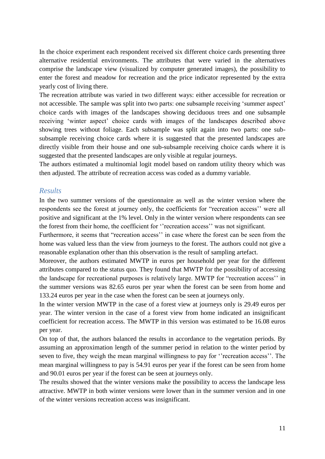In the choice experiment each respondent received six different choice cards presenting three alternative residential environments. The attributes that were varied in the alternatives comprise the landscape view (visualized by computer generated images), the possibility to enter the forest and meadow for recreation and the price indicator represented by the extra yearly cost of living there.

The recreation attribute was varied in two different ways: either accessible for recreation or not accessible. The sample was split into two parts: one subsample receiving 'summer aspect' choice cards with images of the landscapes showing deciduous trees and one subsample receiving 'winter aspect' choice cards with images of the landscapes described above showing trees without foliage. Each subsample was split again into two parts: one subsubsample receiving choice cards where it is suggested that the presented landscapes are directly visible from their house and one sub-subsample receiving choice cards where it is suggested that the presented landscapes are only visible at regular journeys.

The authors estimated a multinomial logit model based on random utility theory which was then adjusted. The attribute of recreation access was coded as a dummy variable.

#### *Results*

In the two summer versions of the questionnaire as well as the winter version where the respondents see the forest at journey only, the coefficients for "recreation access'' were all positive and significant at the 1% level. Only in the winter version where respondents can see the forest from their home, the coefficient for ''recreation access'' was not significant.

Furthermore, it seems that "recreation access'' in case where the forest can be seen from the home was valued less than the view from journeys to the forest. The authors could not give a reasonable explanation other than this observation is the result of sampling artefact.

Moreover, the authors estimated MWTP in euros per household per year for the different attributes compared to the status quo. They found that MWTP for the possibility of accessing the landscape for recreational purposes is relatively large. MWTP for "recreation access'' in the summer versions was 82.65 euros per year when the forest can be seen from home and 133.24 euros per year in the case when the forest can be seen at journeys only.

In the winter version MWTP in the case of a forest view at journeys only is 29.49 euros per year. The winter version in the case of a forest view from home indicated an insignificant coefficient for recreation access. The MWTP in this version was estimated to be 16.08 euros per year.

On top of that, the authors balanced the results in accordance to the vegetation periods. By assuming an approximation length of the summer period in relation to the winter period by seven to five, they weigh the mean marginal willingness to pay for ''recreation access''. The mean marginal willingness to pay is 54.91 euros per year if the forest can be seen from home and 90.01 euros per year if the forest can be seen at journeys only.

The results showed that the winter versions make the possibility to access the landscape less attractive. MWTP in both winter versions were lower than in the summer version and in one of the winter versions recreation access was insignificant.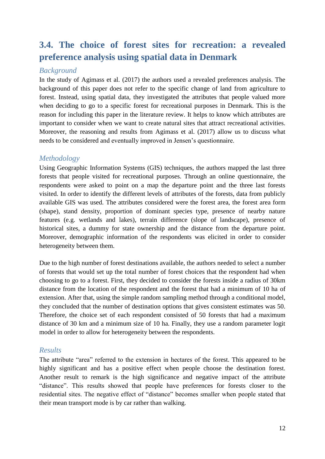### <span id="page-12-0"></span>**3.4. The choice of forest sites for recreation: a revealed preference analysis using spatial data in Denmark**

### *Background*

In the study of Agimass et al. (2017) the authors used a revealed preferences analysis. The background of this paper does not refer to the specific change of land from agriculture to forest. Instead, using spatial data, they investigated the attributes that people valued more when deciding to go to a specific forest for recreational purposes in Denmark. This is the reason for including this paper in the literature review. It helps to know which attributes are important to consider when we want to create natural sites that attract recreational activities. Moreover, the reasoning and results from Agimass et al. (2017) allow us to discuss what needs to be considered and eventually improved in Jensen's questionnaire.

### *Methodology*

Using Geographic Information Systems (GIS) techniques, the authors mapped the last three forests that people visited for recreational purposes. Through an online questionnaire, the respondents were asked to point on a map the departure point and the three last forests visited. In order to identify the different levels of attributes of the forests, data from publicly available GIS was used. The attributes considered were the forest area, the forest area form (shape), stand density, proportion of dominant species type, presence of nearby nature features (e.g. wetlands and lakes), terrain difference (slope of landscape), presence of historical sites, a dummy for state ownership and the distance from the departure point. Moreover, demographic information of the respondents was elicited in order to consider heterogeneity between them.

Due to the high number of forest destinations available, the authors needed to select a number of forests that would set up the total number of forest choices that the respondent had when choosing to go to a forest. First, they decided to consider the forests inside a radius of 30km distance from the location of the respondent and the forest that had a minimum of 10 ha of extension. After that, using the simple random sampling method through a conditional model, they concluded that the number of destination options that gives consistent estimates was 50. Therefore, the choice set of each respondent consisted of 50 forests that had a maximum distance of 30 km and a minimum size of 10 ha. Finally, they use a random parameter logit model in order to allow for heterogeneity between the respondents.

#### *Results*

The attribute "area" referred to the extension in hectares of the forest. This appeared to be highly significant and has a positive effect when people choose the destination forest. Another result to remark is the high significance and negative impact of the attribute "distance". This results showed that people have preferences for forests closer to the residential sites. The negative effect of "distance" becomes smaller when people stated that their mean transport mode is by car rather than walking.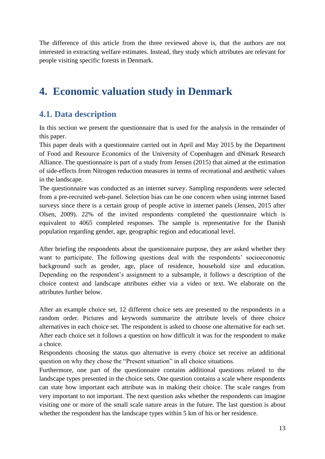The difference of this article from the three reviewed above is, that the authors are not interested in extracting welfare estimates. Instead, they study which attributes are relevant for people visiting specific forests in Denmark.

# <span id="page-13-0"></span>**4. Economic valuation study in Denmark**

### <span id="page-13-1"></span>**4.1. Data description**

In this section we present the questionnaire that is used for the analysis in the remainder of this paper.

This paper deals with a questionnaire carried out in April and May 2015 by the Department of Food and Resource Economics of the University of Copenhagen and dNmark Research Alliance. The questionnaire is part of a study from Jensen (2015) that aimed at the estimation of side-effects from Nitrogen reduction measures in terms of recreational and aesthetic values in the landscape.

The questionnaire was conducted as an internet survey. Sampling respondents were selected from a pre-recruited web-panel. Selection bias can be one concern when using internet based surveys since there is a certain group of people active in internet panels (Jensen, 2015 after Olsen, 2009). 22% of the invited respondents completed the questionnaire which is equivalent to 4065 completed responses. The sample is representative for the Danish population regarding gender, age, geographic region and educational level.

After briefing the respondents about the questionnaire purpose, they are asked whether they want to participate. The following questions deal with the respondents' socioeconomic background such as gender, age, place of residence, household size and education. Depending on the respondent's assignment to a subsample, it follows a description of the choice context and landscape attributes either via a video or text. We elaborate on the attributes further below.

After an example choice set, 12 different choice sets are presented to the respondents in a random order. Pictures and keywords summarize the attribute levels of three choice alternatives in each choice set. The respondent is asked to choose one alternative for each set. After each choice set it follows a question on how difficult it was for the respondent to make a choice.

Respondents choosing the status quo alternative in every choice set receive an additional question on why they chose the "Present situation" in all choice situations.

Furthermore, one part of the questionnaire contains additional questions related to the landscape types presented in the choice sets. One question contains a scale where respondents can state how important each attribute was in making their choice. The scale ranges from very important to not important. The next question asks whether the respondents can imagine visiting one or more of the small scale nature areas in the future. The last question is about whether the respondent has the landscape types within 5 km of his or her residence.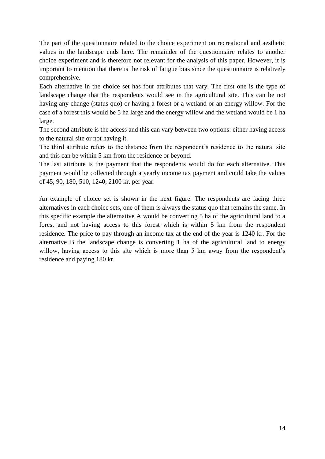The part of the questionnaire related to the choice experiment on recreational and aesthetic values in the landscape ends here. The remainder of the questionnaire relates to another choice experiment and is therefore not relevant for the analysis of this paper. However, it is important to mention that there is the risk of fatigue bias since the questionnaire is relatively comprehensive.

Each alternative in the choice set has four attributes that vary. The first one is the type of landscape change that the respondents would see in the agricultural site. This can be not having any change (status quo) or having a forest or a wetland or an energy willow. For the case of a forest this would be 5 ha large and the energy willow and the wetland would be 1 ha large.

The second attribute is the access and this can vary between two options: either having access to the natural site or not having it.

The third attribute refers to the distance from the respondent's residence to the natural site and this can be within 5 km from the residence or beyond.

The last attribute is the payment that the respondents would do for each alternative. This payment would be collected through a yearly income tax payment and could take the values of 45, 90, 180, 510, 1240, 2100 kr. per year.

An example of choice set is shown in the next figure. The respondents are facing three alternatives in each choice sets, one of them is always the status quo that remains the same. In this specific example the alternative A would be converting 5 ha of the agricultural land to a forest and not having access to this forest which is within 5 km from the respondent residence. The price to pay through an income tax at the end of the year is 1240 kr. For the alternative B the landscape change is converting 1 ha of the agricultural land to energy willow, having access to this site which is more than 5 km away from the respondent's residence and paying 180 kr.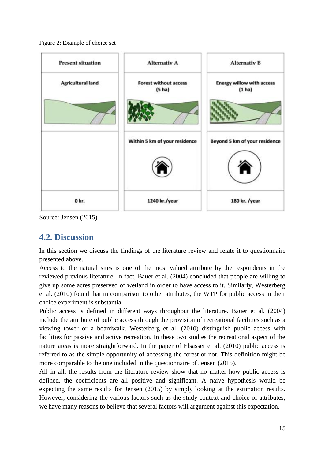<span id="page-15-1"></span>Figure 2: Example of choice set



<span id="page-15-0"></span>Source: Jensen (2015)

### **4.2. Discussion**

In this section we discuss the findings of the literature review and relate it to questionnaire presented above.

Access to the natural sites is one of the most valued attribute by the respondents in the reviewed previous literature. In fact, Bauer et al. (2004) concluded that people are willing to give up some acres preserved of wetland in order to have access to it. Similarly, Westerberg et al. (2010) found that in comparison to other attributes, the WTP for public access in their choice experiment is substantial.

Public access is defined in different ways throughout the literature. Bauer et al. (2004) include the attribute of public access through the provision of recreational facilities such as a viewing tower or a boardwalk. Westerberg et al. (2010) distinguish public access with facilities for passive and active recreation. In these two studies the recreational aspect of the nature areas is more straightforward. In the paper of Elsasser et al. (2010) public access is referred to as the simple opportunity of accessing the forest or not. This definition might be more comparable to the one included in the questionnaire of Jensen (2015).

All in all, the results from the literature review show that no matter how public access is defined, the coefficients are all positive and significant. A naive hypothesis would be expecting the same results for Jensen (2015) by simply looking at the estimation results. However, considering the various factors such as the study context and choice of attributes, we have many reasons to believe that several factors will argument against this expectation.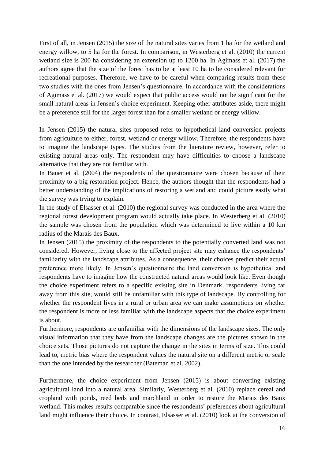First of all, in Jensen (2015) the size of the natural sites varies from 1 ha for the wetland and energy willow, to 5 ha for the forest. In comparison, in Westerberg et al. (2010) the current wetland size is 200 ha considering an extension up to 1200 ha. In Agimass et al. (2017) the authors agree that the size of the forest has to be at least 10 ha to be considered relevant for recreational purposes. Therefore, we have to be careful when comparing results from these two studies with the ones from Jensen's questionnaire. In accordance with the considerations of Agimass et al. (2017) we would expect that public access would not be significant for the small natural areas in Jensen's choice experiment. Keeping other attributes aside, there might be a preference still for the larger forest than for a smaller wetland or energy willow.

In Jensen (2015) the natural sites proposed refer to hypothetical land conversion projects from agriculture to either, forest, wetland or energy willow. Therefore, the respondents have to imagine the landscape types. The studies from the literature review, however, refer to existing natural areas only. The respondent may have difficulties to choose a landscape alternative that they are not familiar with.

In Bauer et al. (2004) the respondents of the questionnaire were chosen because of their proximity to a big restoration project. Hence, the authors thought that the respondents had a better understanding of the implications of restoring a wetland and could picture easily what the survey was trying to explain.

In the study of Elsasser et al. (2010) the regional survey was conducted in the area where the regional forest development program would actually take place. In Westerberg et al. (2010) the sample was chosen from the population which was determined to live within a 10 km radius of the Marais des Baux.

In Jensen (2015) the proximity of the respondents to the potentially converted land was not considered. However, living close to the affected project site may enhance the respondents' familiarity with the landscape attributes. As a consequence, their choices predict their actual preference more likely. In Jensen's questionnaire the land conversion is hypothetical and respondents have to imagine how the constructed natural areas would look like. Even though the choice experiment refers to a specific existing site in Denmark, respondents living far away from this site, would still be unfamiliar with this type of landscape. By controlling for whether the respondent lives in a rural or urban area we can make assumptions on whether the respondent is more or less familiar with the landscape aspects that the choice experiment is about.

Furthermore, respondents are unfamiliar with the dimensions of the landscape sizes. The only visual information that they have from the landscape changes are the pictures shown in the choice sets. Those pictures do not capture the change in the sites in terms of size. This could lead to, metric bias where the respondent values the natural site on a different metric or scale than the one intended by the researcher (Bateman et al. 2002).

Furthermore, the choice experiment from Jensen (2015) is about converting existing agricultural land into a natural area. Similarly, Westerberg et al. (2010) replace cereal and cropland with ponds, reed beds and marchland in order to restore the Marais des Baux wetland. This makes results comparable since the respondents' preferences about agricultural land might influence their choice. In contrast, Elsasser et al. (2010) look at the conversion of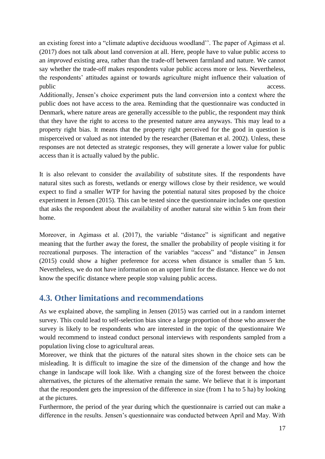an existing forest into a "climate adaptive deciduous woodland''. The paper of Agimass et al. (2017) does not talk about land conversion at all. Here, people have to value public access to an *improved* existing area, rather than the trade-off between farmland and nature. We cannot say whether the trade-off makes respondents value public access more or less. Nevertheless, the respondents' attitudes against or towards agriculture might influence their valuation of public access.

Additionally, Jensen's choice experiment puts the land conversion into a context where the public does not have access to the area. Reminding that the questionnaire was conducted in Denmark, where nature areas are generally accessible to the public, the respondent may think that they have the right to access to the presented nature area anyways. This may lead to a property right bias. It means that the property right perceived for the good in question is misperceived or valued as not intended by the researcher (Bateman et al. 2002). Unless, these responses are not detected as strategic responses, they will generate a lower value for public access than it is actually valued by the public.

It is also relevant to consider the availability of substitute sites. If the respondents have natural sites such as forests, wetlands or energy willows close by their residence, we would expect to find a smaller WTP for having the potential natural sites proposed by the choice experiment in Jensen (2015). This can be tested since the questionnaire includes one question that asks the respondent about the availability of another natural site within 5 km from their home.

Moreover, in Agimass et al. (2017), the variable "distance" is significant and negative meaning that the further away the forest, the smaller the probability of people visiting it for recreational purposes. The interaction of the variables "access" and "distance" in Jensen (2015) could show a higher preference for access when distance is smaller than 5 km. Nevertheless, we do not have information on an upper limit for the distance. Hence we do not know the specific distance where people stop valuing public access.

### <span id="page-17-0"></span>**4.3. Other limitations and recommendations**

As we explained above, the sampling in Jensen (2015) was carried out in a random internet survey. This could lead to self-selection bias since a large proportion of those who answer the survey is likely to be respondents who are interested in the topic of the questionnaire We would recommend to instead conduct personal interviews with respondents sampled from a population living close to agricultural areas.

Moreover, we think that the pictures of the natural sites shown in the choice sets can be misleading. It is difficult to imagine the size of the dimension of the change and how the change in landscape will look like. With a changing size of the forest between the choice alternatives, the pictures of the alternative remain the same. We believe that it is important that the respondent gets the impression of the difference in size (from 1 ha to 5 ha) by looking at the pictures.

Furthermore, the period of the year during which the questionnaire is carried out can make a difference in the results. Jensen's questionnaire was conducted between April and May. With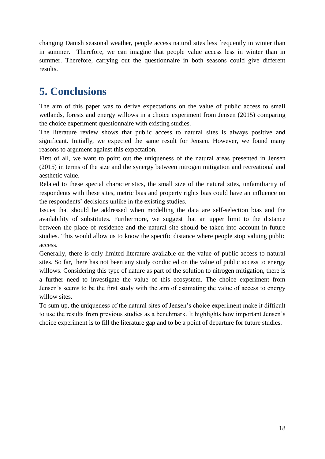changing Danish seasonal weather, people access natural sites less frequently in winter than in summer. Therefore, we can imagine that people value access less in winter than in summer. Therefore, carrying out the questionnaire in both seasons could give different results.

# <span id="page-18-0"></span>**5. Conclusions**

The aim of this paper was to derive expectations on the value of public access to small wetlands, forests and energy willows in a choice experiment from Jensen (2015) comparing the choice experiment questionnaire with existing studies.

The literature review shows that public access to natural sites is always positive and significant. Initially, we expected the same result for Jensen. However, we found many reasons to argument against this expectation.

First of all, we want to point out the uniqueness of the natural areas presented in Jensen (2015) in terms of the size and the synergy between nitrogen mitigation and recreational and aesthetic value.

Related to these special characteristics, the small size of the natural sites, unfamiliarity of respondents with these sites, metric bias and property rights bias could have an influence on the respondents' decisions unlike in the existing studies.

Issues that should be addressed when modelling the data are self-selection bias and the availability of substitutes. Furthermore, we suggest that an upper limit to the distance between the place of residence and the natural site should be taken into account in future studies. This would allow us to know the specific distance where people stop valuing public access.

Generally, there is only limited literature available on the value of public access to natural sites. So far, there has not been any study conducted on the value of public access to energy willows. Considering this type of nature as part of the solution to nitrogen mitigation, there is a further need to investigate the value of this ecosystem. The choice experiment from Jensen's seems to be the first study with the aim of estimating the value of access to energy willow sites.

To sum up, the uniqueness of the natural sites of Jensen's choice experiment make it difficult to use the results from previous studies as a benchmark. It highlights how important Jensen's choice experiment is to fill the literature gap and to be a point of departure for future studies.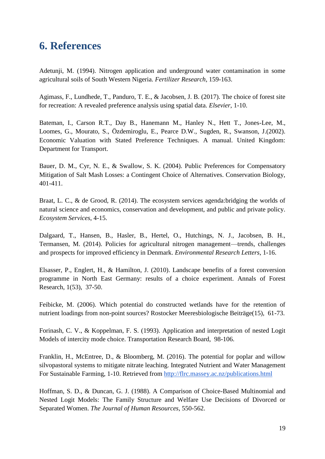# <span id="page-19-0"></span>**6. References**

Adetunji, M. (1994). Nitrogen application and underground water contamination in some agricultural soils of South Western Nigeria. *Fertilizer Research*, 159-163.

Agimass, F., Lundhede, T., Panduro, T. E., & Jacobsen, J. B. (2017). The choice of forest site for recreation: A revealed preference analysis using spatial data. *Elsevier*, 1-10.

Bateman, I., Carson R.T., Day B., Hanemann M., Hanley N., Hett T., Jones-Lee, M., Loomes, G., Mourato, S., Özdemiroglu, E., Pearce D.W., Sugden, R., Swanson, J.(2002). Economic Valuation with Stated Preference Techniques. A manual. United Kingdom: Department for Transport.

Bauer, D. M., Cyr, N. E., & Swallow, S. K. (2004). Public Preferences for Compensatory Mitigation of Salt Mash Losses: a Contingent Choice of Alternatives. Conservation Biology, 401-411.

Braat, L. C., & de Grood, R. (2014). The ecosystem services agenda:bridging the worlds of natural science and economics, conservation and development, and public and private policy. *Ecosystem Services*, 4-15.

Dalgaard, T., Hansen, B., Hasler, B., Hertel, O., Hutchings, N. J., Jacobsen, B. H., Termansen, M. (2014). Policies for agricultural nitrogen management—trends, challenges and prospects for improved efficiency in Denmark. *Environmental Research Letters*, 1-16.

Elsasser, P., Englert, H., & Hamilton, J. (2010). Landscape benefits of a forest conversion programme in North East Germany: results of a choice experiment. Annals of Forest Research, 1(53), 37-50.

Feibicke, M. (2006). Which potential do constructed wetlands have for the retention of nutrient loadings from non-point sources? Rostocker Meeresbiologische Beiträge(15), 61-73.

Forinash, C. V., & Koppelman, F. S. (1993). Application and interpretation of nested Logit Models of intercity mode choice. Transportation Research Board, 98-106.

Franklin, H., McEntree, D., & Bloomberg, M. (2016). The potential for poplar and willow silvopastoral systems to mitigate nitrate leaching. Integrated Nutrient and Water Management For Sustainable Farming, 1-10. Retrieved fro[m](http://flrc.massey.ac.nz/publications.html) <http://flrc.massey.ac.nz/publications.html>

Hoffman, S. D., & Duncan, G. J. (1988). A Comparison of Choice-Based Multinomial and Nested Logit Models: The Family Structure and Welfare Use Decisions of Divorced or Separated Women. *The Journal of Human Resources*, 550-562.